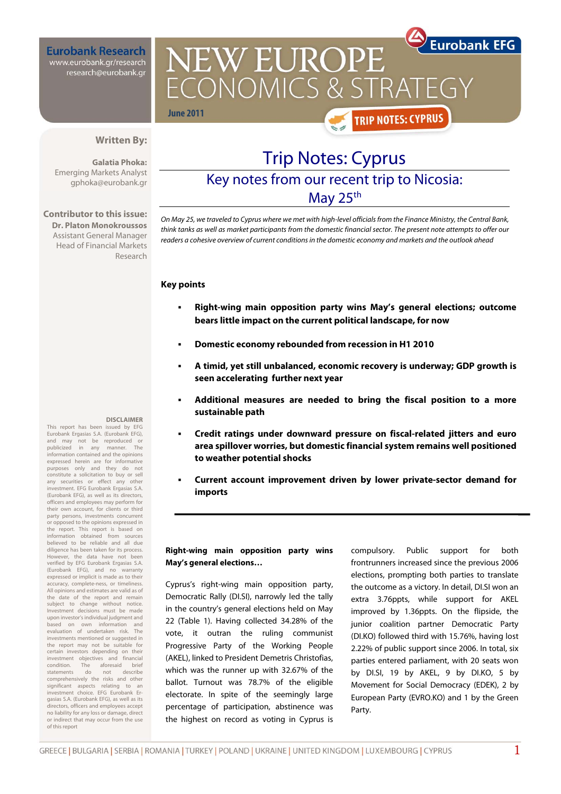**Eurobank Research** www.eurobank.gr/research research@eurobank.gr

**Eurobank EFG** NEW EUROPE CONOMICS & STRA **June 2011 TRIP NOTES: CYPRUS** 

## **Written By:**

**Galatia Phoka:**  Emerging Markets Analyst gphoka@eurobank.gr

**Contributor to this issue: Dr. Platon Monokroussos**  Assistant General Manager Head of Financial Markets Research

# Trip Notes: Cyprus

# Key notes from our recent trip to Nicosia:

May 25<sup>th</sup>

On May 25, we traveled to Cyprus where we met with high-level officials from the Finance Ministry, the Central Bank, think tanks as well as market participants from the domestic financial sector. The present note attempts to offer our readers a cohesive overview of current conditions in the domestic economy and markets and the outlook ahead

## **Key points**

- **Right-wing main opposition party wins May's general elections; outcome bears little impact on the current political landscape, for now**
- **Domestic economy rebounded from recession in H1 2010**
- **A timid, yet still unbalanced, economic recovery is underway; GDP growth is seen accelerating further next year**
- **Additional measures are needed to bring the fiscal position to a more sustainable path**
- **Credit ratings under downward pressure on fiscal-related jitters and euro area spillover worries, but domestic financial system remains well positioned to weather potential shocks**
- **Current account improvement driven by lower private-sector demand for imports**

## **Right-wing main opposition party wins May's general elections…**

Cyprus's right-wing main opposition party, Democratic Rally (DI.SI), narrowly led the tally in the country's general elections held on May 22 (Table 1). Having collected 34.28% of the vote, it outran the ruling communist Progressive Party of the Working People (AKEL), linked to President Demetris Christofias, which was the runner up with 32.67% of the ballot. Turnout was 78.7% of the eligible electorate. In spite of the seemingly large percentage of participation, abstinence was the highest on record as voting in Cyprus is

compulsory. Public support for both frontrunners increased since the previous 2006 elections, prompting both parties to translate the outcome as a victory. In detail, DI.SI won an extra 3.76ppts, while support for AKEL improved by 1.36ppts. On the flipside, the junior coalition partner Democratic Party (DI.KO) followed third with 15.76%, having lost 2.22% of public support since 2006. In total, six parties entered parliament, with 20 seats won by DI.SI, 19 by AKEL, 9 by DI.KO, 5 by Movement for Social Democracy (EDEK), 2 by European Party (EVRO.KO) and 1 by the Green Party.

## **DISCLAIMER**

This report has been issued by EFG Eurobank Ergasias S.A. (Eurobank EFG), and may not be reproduced or publicized in any manner. The information contained and the opinions expressed herein are for informative purposes only and they do not constitute a solicitation to buy or sell any securities or effect any other investment. EFG Eurobank Ergasias S.A. (Eurobank EFG), as well as its directors, officers and employees may perform for their own account, for clients or third party persons, investments concurrent or opposed to the opinions expressed in the report. This report is based on information obtained from sources believed to be reliable and all due diligence has been taken for its process. However, the data have not been verified by EFG Eurobank Ergasias S.A. (Eurobank EFG), and no warranty expressed or implicit is made as to their accuracy, complete-ness, or timeliness. All opinions and estimates are valid as of the date of the report and remain subject to change without notice Investment decisions must be made upon investor's individual judgment and<br>based on own information and information and evaluation of undertaken risk. The investments mentioned or suggested in the report may not be suitable for certain investors depending on their investment objectives and financial condition. The aforesaid brief statements do not describe comprehensively the risks and other significant aspects relating to ar investment choice. EFG Eurobank Ergasias S.A. (Eurobank EFG), as well as its directors, officers and employees accept no liability for any loss or damage, direct or indirect that may occur from the use of this report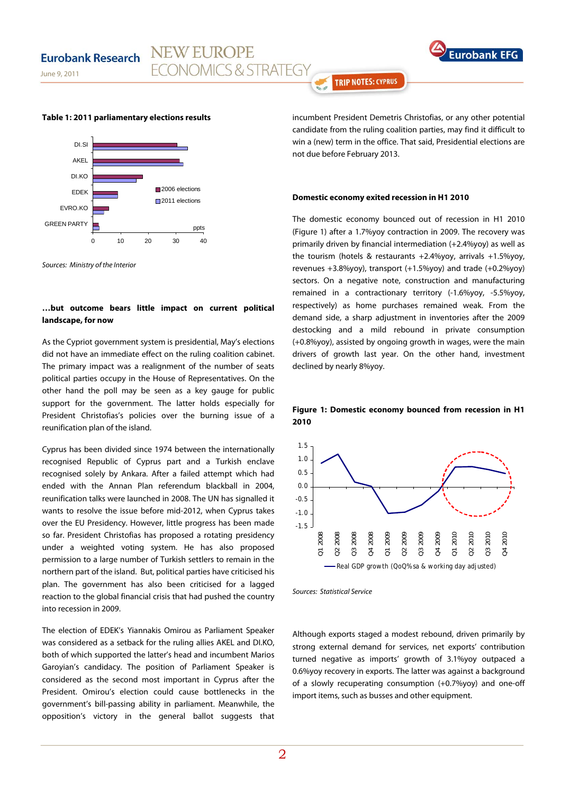**Eurobank** 

June 9, 2011

**Table 1: 2011 parliamentary elections results** 

**NEW EUROPE** 

ECONOMICS & STRATEGY



Sources: Ministry of the Interior

## **…but outcome bears little impact on current political landscape, for now**

As the Cypriot government system is presidential, May's elections did not have an immediate effect on the ruling coalition cabinet. The primary impact was a realignment of the number of seats political parties occupy in the House of Representatives. On the other hand the poll may be seen as a key gauge for public support for the government. The latter holds especially for President Christofias's policies over the burning issue of a reunification plan of the island.

Cyprus has been divided since 1974 between the internationally recognised Republic of Cyprus part and a Turkish enclave recognised solely by Ankara. After a failed attempt which had ended with the Annan Plan referendum blackball in 2004, reunification talks were launched in 2008. The UN has signalled it wants to resolve the issue before mid-2012, when Cyprus takes over the EU Presidency. However, little progress has been made so far. President Christofias has proposed a rotating presidency under a weighted voting system. He has also proposed permission to a large number of Turkish settlers to remain in the northern part of the island. But, political parties have criticised his plan. The government has also been criticised for a lagged reaction to the global financial crisis that had pushed the country into recession in 2009.

The election of EDEK's Yiannakis Omirou as Parliament Speaker was considered as a setback for the ruling allies AKEL and DI.KO, both of which supported the latter's head and incumbent Marios Garoyian's candidacy. The position of Parliament Speaker is considered as the second most important in Cyprus after the President. Omirou's election could cause bottlenecks in the government's bill-passing ability in parliament. Meanwhile, the opposition's victory in the general ballot suggests that **TRIP NOTES: CYPRUS** 

incumbent President Demetris Christofias, or any other potential candidate from the ruling coalition parties, may find it difficult to win a (new) term in the office. That said, Presidential elections are not due before February 2013.

#### **Domestic economy exited recession in H1 2010**

The domestic economy bounced out of recession in H1 2010 (Figure 1) after a 1.7%yoy contraction in 2009. The recovery was primarily driven by financial intermediation (+2.4%yoy) as well as the tourism (hotels & restaurants +2.4%yoy, arrivals +1.5%yoy, revenues +3.8%yoy), transport (+1.5%yoy) and trade (+0.2%yoy) sectors. On a negative note, construction and manufacturing remained in a contractionary territory (-1.6%yoy, -5.5%yoy, respectively) as home purchases remained weak. From the demand side, a sharp adjustment in inventories after the 2009 destocking and a mild rebound in private consumption (+0.8%yoy), assisted by ongoing growth in wages, were the main drivers of growth last year. On the other hand, investment declined by nearly 8%yoy.

## **Figure 1: Domestic economy bounced from recession in H1 2010**



Sources: Statistical Service

Although exports staged a modest rebound, driven primarily by strong external demand for services, net exports' contribution turned negative as imports' growth of 3.1%yoy outpaced a 0.6%yoy recovery in exports. The latter was against a background of a slowly recuperating consumption (+0.7%yoy) and one-off import items, such as busses and other equipment.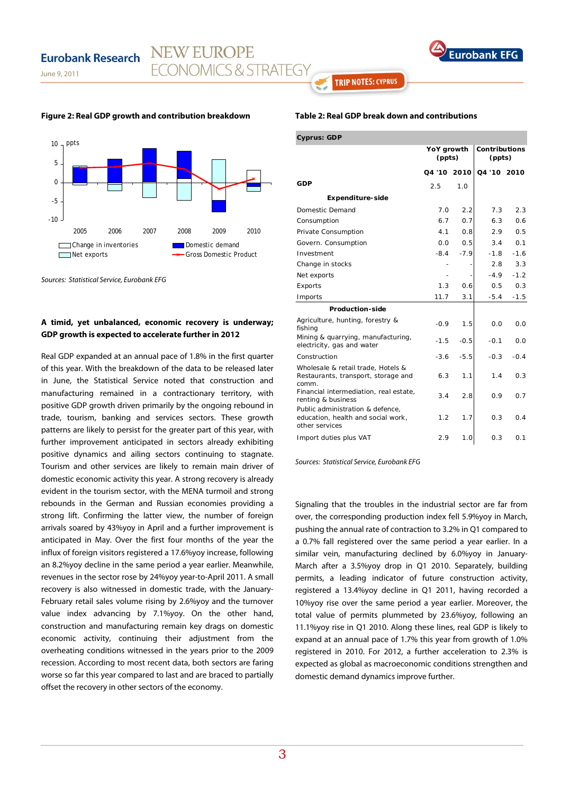June 9, 2011





Sources: Statistical Service, Eurobank EFG

## **A timid, yet unbalanced, economic recovery is underway; GDP growth is expected to accelerate further in 2012**

Real GDP expanded at an annual pace of 1.8% in the first quarter of this year. With the breakdown of the data to be released later in June, the Statistical Service noted that construction and manufacturing remained in a contractionary territory, with positive GDP growth driven primarily by the ongoing rebound in trade, tourism, banking and services sectors. These growth patterns are likely to persist for the greater part of this year, with further improvement anticipated in sectors already exhibiting positive dynamics and ailing sectors continuing to stagnate. Tourism and other services are likely to remain main driver of domestic economic activity this year. A strong recovery is already evident in the tourism sector, with the MENA turmoil and strong rebounds in the German and Russian economies providing a strong lift. Confirming the latter view, the number of foreign arrivals soared by 43%yoy in April and a further improvement is anticipated in May. Over the first four months of the year the influx of foreign visitors registered a 17.6%yoy increase, following an 8.2%yoy decline in the same period a year earlier. Meanwhile, revenues in the sector rose by 24%yoy year-to-April 2011. A small recovery is also witnessed in domestic trade, with the January-February retail sales volume rising by 2.6%yoy and the turnover value index advancing by 7.1%yoy. On the other hand, construction and manufacturing remain key drags on domestic economic activity, continuing their adjustment from the overheating conditions witnessed in the years prior to the 2009 recession. According to most recent data, both sectors are faring worse so far this year compared to last and are braced to partially offset the recovery in other sectors of the economy.

## **Table 2: Real GDP break down and contributions**

**TRIP NOTES: CYPRUS** 

| <b>Cyprus: GDP</b>                                                                       |                      |        |                                |        |  |  |  |
|------------------------------------------------------------------------------------------|----------------------|--------|--------------------------------|--------|--|--|--|
|                                                                                          | YoY growth<br>(ppts) |        | <b>Contributions</b><br>(ppts) |        |  |  |  |
|                                                                                          | 04 '10 2010          |        | Q4 '10 2010                    |        |  |  |  |
| GDP                                                                                      | 2.5                  | 1.0    |                                |        |  |  |  |
| Expenditure-side                                                                         |                      |        |                                |        |  |  |  |
| Domestic Demand                                                                          | 7.0                  | 2.2    | 7.3                            | 2.3    |  |  |  |
| Consumption                                                                              | 6.7                  | 0.7    | 6.3                            | 0.6    |  |  |  |
| Private Consumption                                                                      | 4.1                  | 0.8    | 2.9                            | 0.5    |  |  |  |
| Govern. Consumption                                                                      | 0.0                  | 0.5    | 3.4                            | 0.1    |  |  |  |
| Investment                                                                               | $-8.4$               | $-7.9$ | $-1.8$                         | $-1.6$ |  |  |  |
| Change in stocks                                                                         |                      |        | 2.8                            | 3.3    |  |  |  |
| Net exports                                                                              |                      |        | $-4.9$                         | $-1.2$ |  |  |  |
| Exports                                                                                  | 1.3                  | 0.6    | 0.5                            | 0.3    |  |  |  |
| Imports                                                                                  | 11.7                 | 3.1    | $-5.4$                         | $-1.5$ |  |  |  |
| Production-side                                                                          |                      |        |                                |        |  |  |  |
| Agriculture, hunting, forestry &<br>fishing                                              | $-0.9$               | 1.5    | 0.0                            | 0.0    |  |  |  |
| Mining & quarrying, manufacturing,<br>electricity, gas and water                         | $-1.5$               | $-0.5$ | $-0.1$                         | 0.0    |  |  |  |
| Construction                                                                             | $-3.6$               | $-5.5$ | $-0.3$                         | $-0.4$ |  |  |  |
| Wholesale & retail trade, Hotels &<br>Restaurants, transport, storage and<br>comm.       | 6.3                  | 1.1    | 1.4                            | 0.3    |  |  |  |
| Financial intermediation, real estate,<br>renting & business                             | 3.4                  | 2.8    | 0.9                            | 0.7    |  |  |  |
| Public administration & defence,<br>education, health and social work,<br>other services | 1.2                  | 1.7    | 0.3                            | 0.4    |  |  |  |
| Import duties plus VAT                                                                   | 2.9                  | 1.0    | 0.3                            | 0.1    |  |  |  |

Sources: Statistical Service, Eurobank EFG

Signaling that the troubles in the industrial sector are far from over, the corresponding production index fell 5.9%yoy in March, pushing the annual rate of contraction to 3.2% in Q1 compared to a 0.7% fall registered over the same period a year earlier. In a similar vein, manufacturing declined by 6.0%yoy in January-March after a 3.5%yoy drop in Q1 2010. Separately, building permits, a leading indicator of future construction activity, registered a 13.4%yoy decline in Q1 2011, having recorded a 10%yoy rise over the same period a year earlier. Moreover, the total value of permits plummeted by 23.6%yoy, following an 11.1%yoy rise in Q1 2010. Along these lines, real GDP is likely to expand at an annual pace of 1.7% this year from growth of 1.0% registered in 2010. For 2012, a further acceleration to 2.3% is expected as global as macroeconomic conditions strengthen and domestic demand dynamics improve further.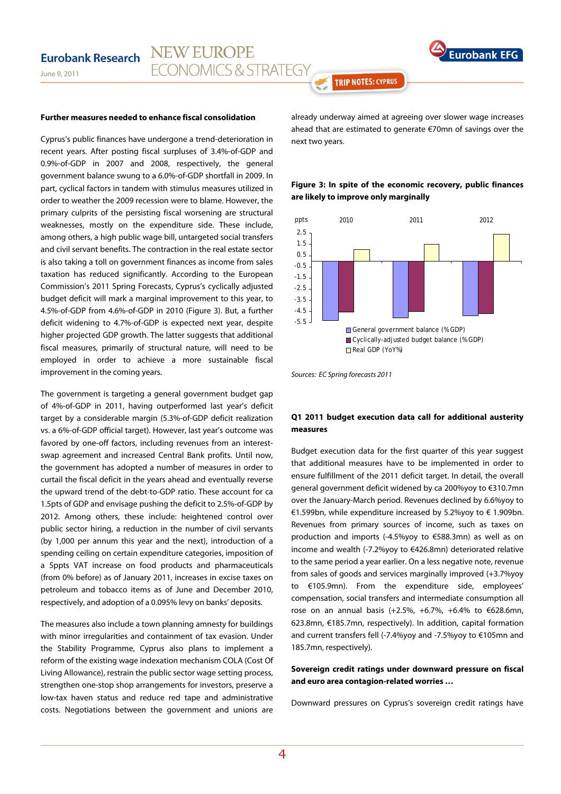

June 9, 2011

## **Further measures needed to enhance fiscal consolidation**

Cyprus's public finances have undergone a trend-deterioration in recent years. After posting fiscal surpluses of 3.4%-of-GDP and 0.9%-of-GDP in 2007 and 2008, respectively, the general government balance swung to a 6.0%-of-GDP shortfall in 2009. In part, cyclical factors in tandem with stimulus measures utilized in order to weather the 2009 recession were to blame. However, the primary culprits of the persisting fiscal worsening are structural weaknesses, mostly on the expenditure side. These include, among others, a high public wage bill, untargeted social transfers and civil servant benefits. The contraction in the real estate sector is also taking a toll on government finances as income from sales taxation has reduced significantly. According to the European Commission's 2011 Spring Forecasts, Cyprus's cyclically adjusted budget deficit will mark a marginal improvement to this year, to 4.5%-of-GDP from 4.6%-of-GDP in 2010 (Figure 3). But, a further deficit widening to 4.7%-of-GDP is expected next year, despite higher projected GDP growth. The latter suggests that additional fiscal measures, primarily of structural nature, will need to be employed in order to achieve a more sustainable fiscal improvement in the coming years.

The government is targeting a general government budget gap of 4%-of-GDP in 2011, having outperformed last year's deficit target by a considerable margin (5.3%-of-GDP deficit realization vs. a 6%-of-GDP official target). However, last year's outcome was favored by one-off factors, including revenues from an interestswap agreement and increased Central Bank profits. Until now, the government has adopted a number of measures in order to curtail the fiscal deficit in the years ahead and eventually reverse the upward trend of the debt-to-GDP ratio. These account for ca 1.5pts of GDP and envisage pushing the deficit to 2.5%-of-GDP by 2012. Among others, these include: heightened control over public sector hiring, a reduction in the number of civil servants (by 1,000 per annum this year and the next), introduction of a spending ceiling on certain expenditure categories, imposition of a 5ppts VAT increase on food products and pharmaceuticals (from 0% before) as of January 2011, increases in excise taxes on petroleum and tobacco items as of June and December 2010, respectively, and adoption of a 0.095% levy on banks' deposits.

The measures also include a town planning amnesty for buildings with minor irregularities and containment of tax evasion. Under the Stability Programme, Cyprus also plans to implement a reform of the existing wage indexation mechanism COLA (Cost Of Living Allowance), restrain the public sector wage setting process, strengthen one-stop shop arrangements for investors, preserve a low-tax haven status and reduce red tape and administrative costs. Negotiations between the government and unions are

already underway aimed at agreeing over slower wage increases ahead that are estimated to generate €70mn of savings over the next two years.

**TRIP NOTES: CYPRUS** 

## **Figure 3: In spite of the economic recovery, public finances are likely to improve only marginally**



Sources: EC Spring forecasts 2011

## **Q1 2011 budget execution data call for additional austerity measures**

Budget execution data for the first quarter of this year suggest that additional measures have to be implemented in order to ensure fulfillment of the 2011 deficit target. In detail, the overall general government deficit widened by ca 200%yoy to €310.7mn over the January-March period. Revenues declined by 6.6%yoy to €1.599bn, while expenditure increased by 5.2%yoy to € 1.909bn. Revenues from primary sources of income, such as taxes on production and imports (-4.5%yoy to €588.3mn) as well as on income and wealth (-7.2%yoy to €426.8mn) deteriorated relative to the same period a year earlier. On a less negative note, revenue from sales of goods and services marginally improved (+3.7%yoy to €105.9mn). From the expenditure side, employees' compensation, social transfers and intermediate consumption all rose on an annual basis (+2.5%, +6.7%, +6.4% to €628.6mn, 623.8mn, €185.7mn, respectively). In addition, capital formation and current transfers fell (-7.4%yoy and -7.5%yoy to €105mn and 185.7mn, respectively).

## **Sovereign credit ratings under downward pressure on fiscal and euro area contagion-related worries …**

Downward pressures on Cyprus's sovereign credit ratings have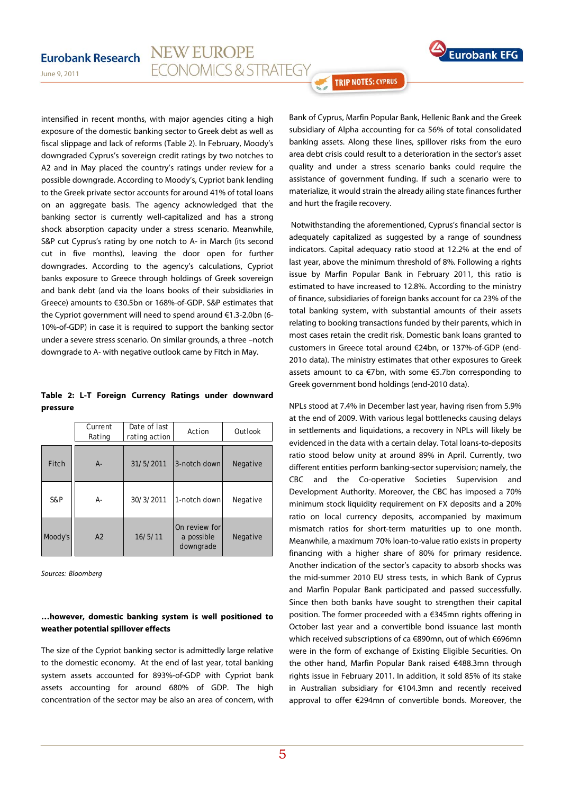

## **NEW EUROPE Eurobank Research ECONOMICS & STRATEGY**

June 9, 2011

intensified in recent months, with major agencies citing a high exposure of the domestic banking sector to Greek debt as well as fiscal slippage and lack of reforms (Table 2). In February, Moody's downgraded Cyprus's sovereign credit ratings by two notches to A2 and in May placed the country's ratings under review for a possible downgrade. According to Moody's, Cypriot bank lending to the Greek private sector accounts for around 41% of total loans on an aggregate basis. The agency acknowledged that the banking sector is currently well-capitalized and has a strong shock absorption capacity under a stress scenario. Meanwhile, S&P cut Cyprus's rating by one notch to A- in March (its second cut in five months), leaving the door open for further downgrades. According to the agency's calculations, Cypriot banks exposure to Greece through holdings of Greek sovereign and bank debt (and via the loans books of their subsidiaries in Greece) amounts to €30.5bn or 168%-of-GDP. S&P estimates that the Cypriot government will need to spend around €1.3-2.0bn (6- 10%-of-GDP) in case it is required to support the banking sector under a severe stress scenario. On similar grounds, a three –notch downgrade to A- with negative outlook came by Fitch in May.

## **Table 2: L-T Foreign Currency Ratings under downward pressure**

|         | Current<br>Rating | Date of last<br>rating action | Action                                   | Outlook  |
|---------|-------------------|-------------------------------|------------------------------------------|----------|
| Fitch   | $A -$             | 31/5/2011                     | 3-notch down                             | Negative |
| S&P     | А-                | 30/3/2011                     | 1-notch down                             | Negative |
| Moody's | A2                | 16/5/11                       | On review for<br>a possible<br>downgrade | Negative |

Sources: Bloomberg

## **…however, domestic banking system is well positioned to weather potential spillover effects**

The size of the Cypriot banking sector is admittedly large relative to the domestic economy. At the end of last year, total banking system assets accounted for 893%-of-GDP with Cypriot bank assets accounting for around 680% of GDP. The high concentration of the sector may be also an area of concern, with Bank of Cyprus, Marfin Popular Bank, Hellenic Bank and the Greek subsidiary of Alpha accounting for ca 56% of total consolidated banking assets. Along these lines, spillover risks from the euro area debt crisis could result to a deterioration in the sector's asset quality and under a stress scenario banks could require the assistance of government funding. If such a scenario were to materialize, it would strain the already ailing state finances further and hurt the fragile recovery.

**TRIP NOTES: CYPRUS** 

 Notwithstanding the aforementioned, Cyprus's financial sector is adequately capitalized as suggested by a range of soundness indicators. Capital adequacy ratio stood at 12.2% at the end of last year, above the minimum threshold of 8%. Following a rights issue by Marfin Popular Bank in February 2011, this ratio is estimated to have increased to 12.8%. According to the ministry of finance, subsidiaries of foreign banks account for ca 23% of the total banking system, with substantial amounts of their assets relating to booking transactions funded by their parents, which in most cases retain the credit risk. Domestic bank loans granted to customers in Greece total around €24bn, or 137%-of-GDP (end-201o data). The ministry estimates that other exposures to Greek assets amount to ca €7bn, with some €5.7bn corresponding to Greek government bond holdings (end-2010 data).

NPLs stood at 7.4% in December last year, having risen from 5.9% at the end of 2009. With various legal bottlenecks causing delays in settlements and liquidations, a recovery in NPLs will likely be evidenced in the data with a certain delay. Total loans-to-deposits ratio stood below unity at around 89% in April. Currently, two different entities perform banking-sector supervision; namely, the CBC and the Co-operative Societies Supervision and Development Authority. Moreover, the CBC has imposed a 70% minimum stock liquidity requirement on FX deposits and a 20% ratio on local currency deposits, accompanied by maximum mismatch ratios for short-term maturities up to one month. Meanwhile, a maximum 70% loan-to-value ratio exists in property financing with a higher share of 80% for primary residence. Another indication of the sector's capacity to absorb shocks was the mid-summer 2010 EU stress tests, in which Bank of Cyprus and Marfin Popular Bank participated and passed successfully. Since then both banks have sought to strengthen their capital position. The former proceeded with a €345mn rights offering in October last year and a convertible bond issuance last month which received subscriptions of ca €890mn, out of which €696mn were in the form of exchange of Existing Eligible Securities. On the other hand, Marfin Popular Bank raised €488.3mn through rights issue in February 2011. In addition, it sold 85% of its stake in Australian subsidiary for €104.3mn and recently received approval to offer €294mn of convertible bonds. Moreover, the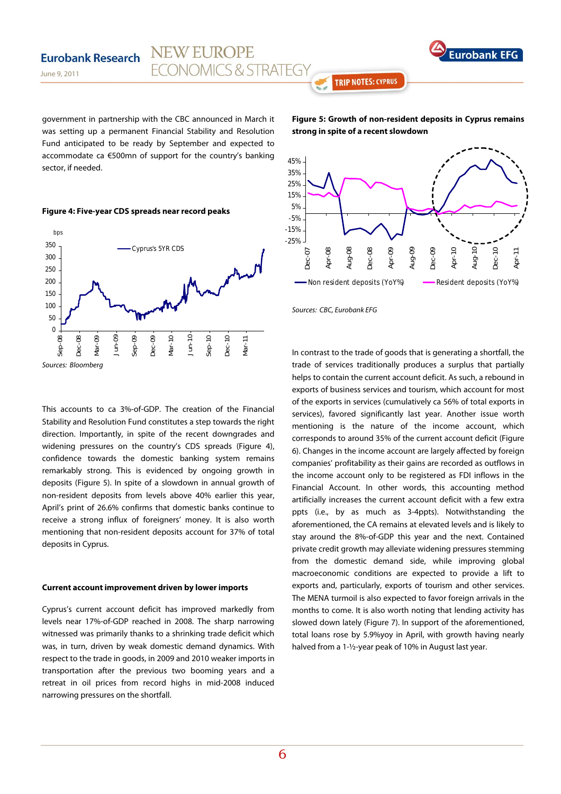

government in partnership with the CBC announced in March it was setting up a permanent Financial Stability and Resolution Fund anticipated to be ready by September and expected to accommodate ca €500mn of support for the country's banking sector, if needed.

**NEW EUROPE** 

**FCONOMICS & STRATEGY** 



June 9, 2011

**Eurobank Research** 



**Figure 5: Growth of non-resident deposits in Cyprus remains strong in spite of a recent slowdown** 

**TRIP NOTES: CYPRUS** 



Sources: CBC, Eurobank EFG

This accounts to ca 3%-of-GDP. The creation of the Financial Stability and Resolution Fund constitutes a step towards the right direction. Importantly, in spite of the recent downgrades and widening pressures on the country's CDS spreads (Figure 4), confidence towards the domestic banking system remains remarkably strong. This is evidenced by ongoing growth in deposits (Figure 5). In spite of a slowdown in annual growth of non-resident deposits from levels above 40% earlier this year, April's print of 26.6% confirms that domestic banks continue to receive a strong influx of foreigners' money. It is also worth mentioning that non-resident deposits account for 37% of total deposits in Cyprus.

## **Current account improvement driven by lower imports**

Cyprus's current account deficit has improved markedly from levels near 17%-of-GDP reached in 2008. The sharp narrowing witnessed was primarily thanks to a shrinking trade deficit which was, in turn, driven by weak domestic demand dynamics. With respect to the trade in goods, in 2009 and 2010 weaker imports in transportation after the previous two booming years and a retreat in oil prices from record highs in mid-2008 induced narrowing pressures on the shortfall.

In contrast to the trade of goods that is generating a shortfall, the trade of services traditionally produces a surplus that partially helps to contain the current account deficit. As such, a rebound in exports of business services and tourism, which account for most of the exports in services (cumulatively ca 56% of total exports in services), favored significantly last year. Another issue worth mentioning is the nature of the income account, which corresponds to around 35% of the current account deficit (Figure 6). Changes in the income account are largely affected by foreign companies' profitability as their gains are recorded as outflows in the income account only to be registered as FDI inflows in the Financial Account. In other words, this accounting method artificially increases the current account deficit with a few extra ppts (i.e., by as much as 3-4ppts). Notwithstanding the aforementioned, the CA remains at elevated levels and is likely to stay around the 8%-of-GDP this year and the next. Contained private credit growth may alleviate widening pressures stemming from the domestic demand side, while improving global macroeconomic conditions are expected to provide a lift to exports and, particularly, exports of tourism and other services. The MENA turmoil is also expected to favor foreign arrivals in the months to come. It is also worth noting that lending activity has slowed down lately (Figure 7). In support of the aforementioned, total loans rose by 5.9%yoy in April, with growth having nearly halved from a 1-½-year peak of 10% in August last year.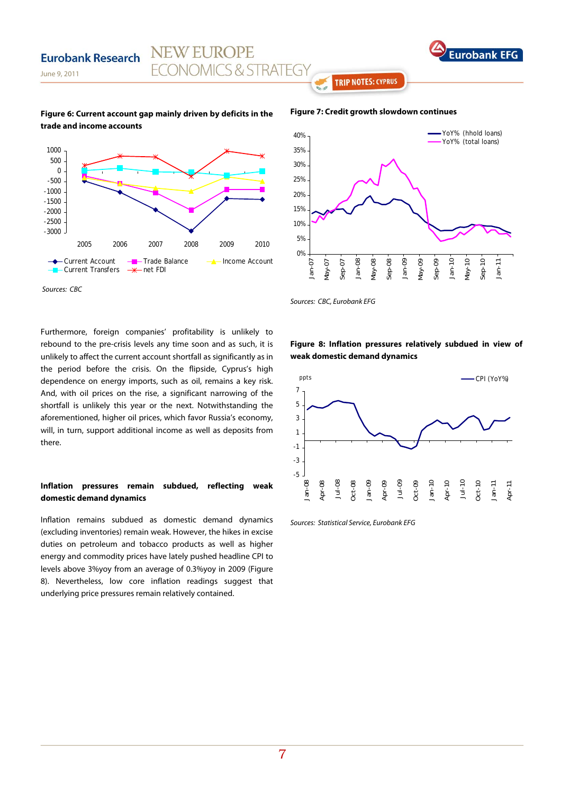

### June 9, 2011

**Eurobank Research** 

## **Figure 6: Current account gap mainly driven by deficits in the trade and income accounts**

**NEW EUROPE** 

**FCONOMICS & STRATEGY** 



## 5% 10% 15% 20% 25% 30% 35% 40% YoY% (hhold loans) YoY% (total loans)

Sources: CBC, Eurobank EFG

0%

Jan-07 May-07 Sep-07 Jan-08 May-08 Sep-08 Jan-09 May-09 Sep-09 Jan-10 May-10 Sep-10 Jan-11

Furthermore, foreign companies' profitability is unlikely to rebound to the pre-crisis levels any time soon and as such, it is unlikely to affect the current account shortfall as significantly as in the period before the crisis. On the flipside, Cyprus's high dependence on energy imports, such as oil, remains a key risk. And, with oil prices on the rise, a significant narrowing of the shortfall is unlikely this year or the next. Notwithstanding the aforementioned, higher oil prices, which favor Russia's economy, will, in turn, support additional income as well as deposits from there.

## **Inflation pressures remain subdued, reflecting weak domestic demand dynamics**

Inflation remains subdued as domestic demand dynamics (excluding inventories) remain weak. However, the hikes in excise duties on petroleum and tobacco products as well as higher energy and commodity prices have lately pushed headline CPI to levels above 3%yoy from an average of 0.3%yoy in 2009 (Figure 8). Nevertheless, low core inflation readings suggest that underlying price pressures remain relatively contained.

**Figure 8: Inflation pressures relatively subdued in view of weak domestic demand dynamics** 



Sources: Statistical Service, Eurobank EFG

## **Figure 7: Credit growth slowdown continues**

**TRIP NOTES: CYPRUS**